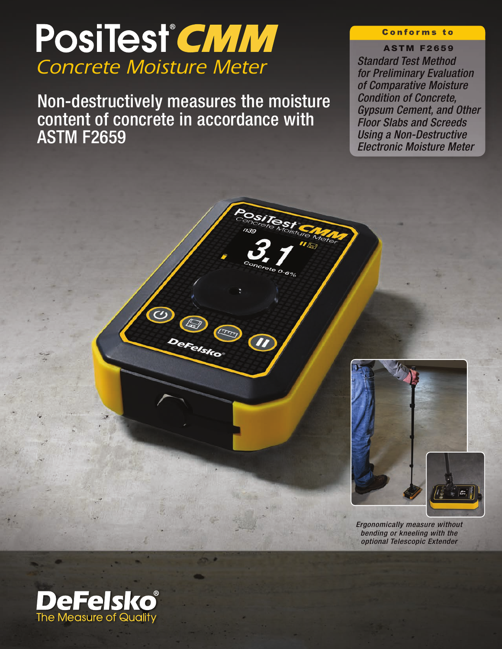# PosiTest<sup>®</sup>CMM *Concrete Moisture Meter*

Non-destructively measures the moisture content of concrete in accordance with ASTM F2659

eFelsko

#### **Conforms to**

#### **ASTM F2659**

*Standard Test Method for Preliminary Evaluation of Comparative Moisture Condition of Concrete, Gypsum Cement, and Other Floor Slabs and Screeds Using a Non-Destructive Electronic Moisture Meter*



*Ergonomically measure without bending or kneeling with the optional Telescopic Extender*